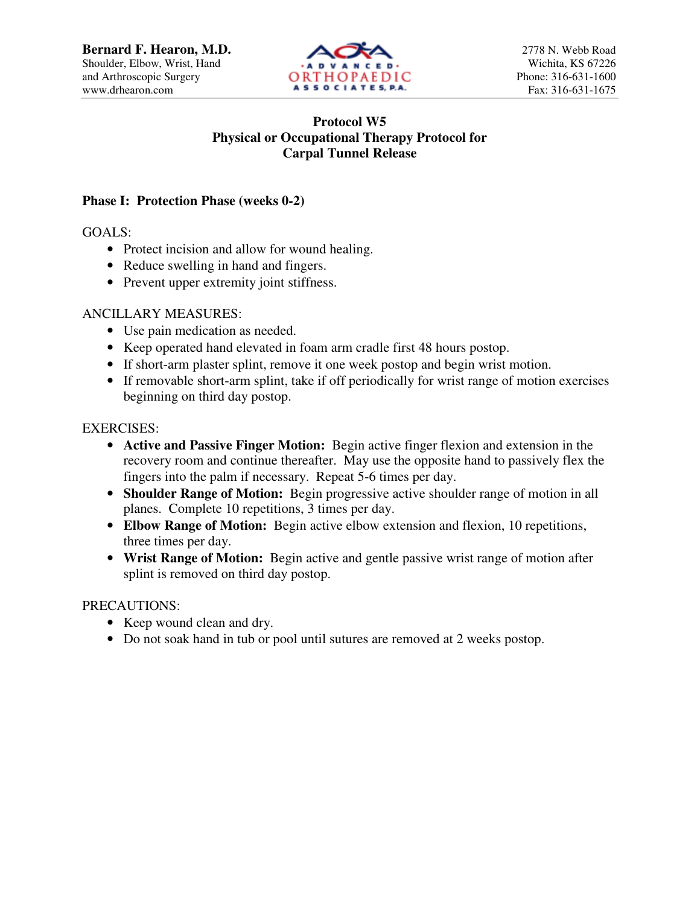

# **Protocol W5 Physical or Occupational Therapy Protocol for Carpal Tunnel Release**

## **Phase I: Protection Phase (weeks 0-2)**

GOALS:

- Protect incision and allow for wound healing.
- Reduce swelling in hand and fingers.
- Prevent upper extremity joint stiffness.

### ANCILLARY MEASURES:

- Use pain medication as needed.
- Keep operated hand elevated in foam arm cradle first 48 hours postop.
- If short-arm plaster splint, remove it one week postop and begin wrist motion.
- If removable short-arm splint, take if off periodically for wrist range of motion exercises beginning on third day postop.

### EXERCISES:

- **Active and Passive Finger Motion:** Begin active finger flexion and extension in the recovery room and continue thereafter. May use the opposite hand to passively flex the fingers into the palm if necessary. Repeat 5-6 times per day.
- **Shoulder Range of Motion:** Begin progressive active shoulder range of motion in all planes. Complete 10 repetitions, 3 times per day.
- **Elbow Range of Motion:** Begin active elbow extension and flexion, 10 repetitions, three times per day.
- **Wrist Range of Motion:** Begin active and gentle passive wrist range of motion after splint is removed on third day postop.

### PRECAUTIONS:

- Keep wound clean and dry.
- Do not soak hand in tub or pool until sutures are removed at 2 weeks postop.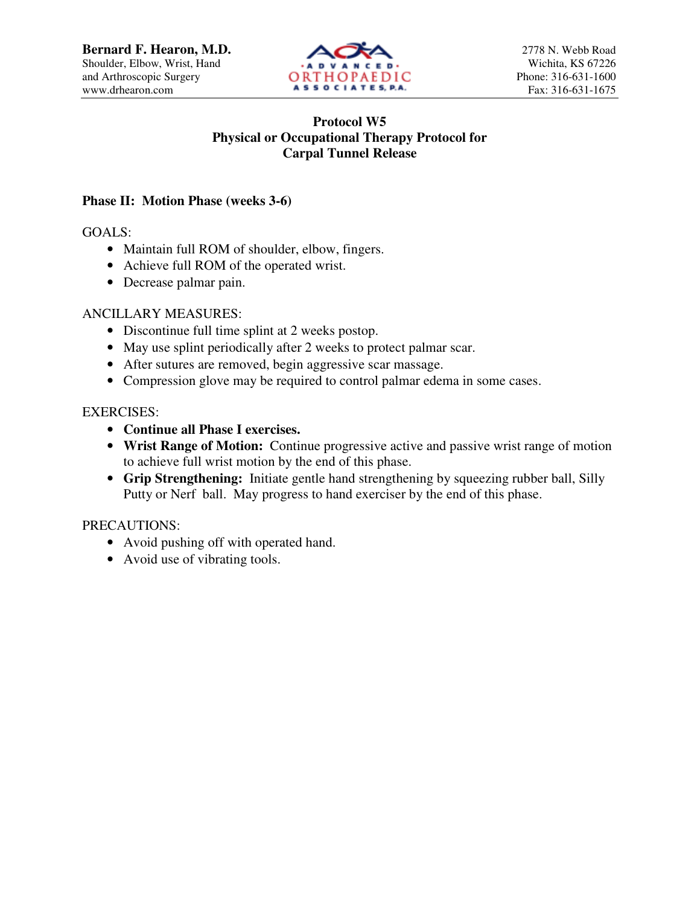

## **Protocol W5 Physical or Occupational Therapy Protocol for Carpal Tunnel Release**

### **Phase II: Motion Phase (weeks 3-6)**

GOALS:

- Maintain full ROM of shoulder, elbow, fingers.
- Achieve full ROM of the operated wrist.
- Decrease palmar pain.

### ANCILLARY MEASURES:

- Discontinue full time splint at 2 weeks postop.
- May use splint periodically after 2 weeks to protect palmar scar.
- After sutures are removed, begin aggressive scar massage.
- Compression glove may be required to control palmar edema in some cases.

### EXERCISES:

- **Continue all Phase I exercises.**
- **Wrist Range of Motion:** Continue progressive active and passive wrist range of motion to achieve full wrist motion by the end of this phase.
- **Grip Strengthening:** Initiate gentle hand strengthening by squeezing rubber ball, Silly Putty or Nerf ball. May progress to hand exerciser by the end of this phase.

## PRECAUTIONS:

- Avoid pushing off with operated hand.
- Avoid use of vibrating tools.